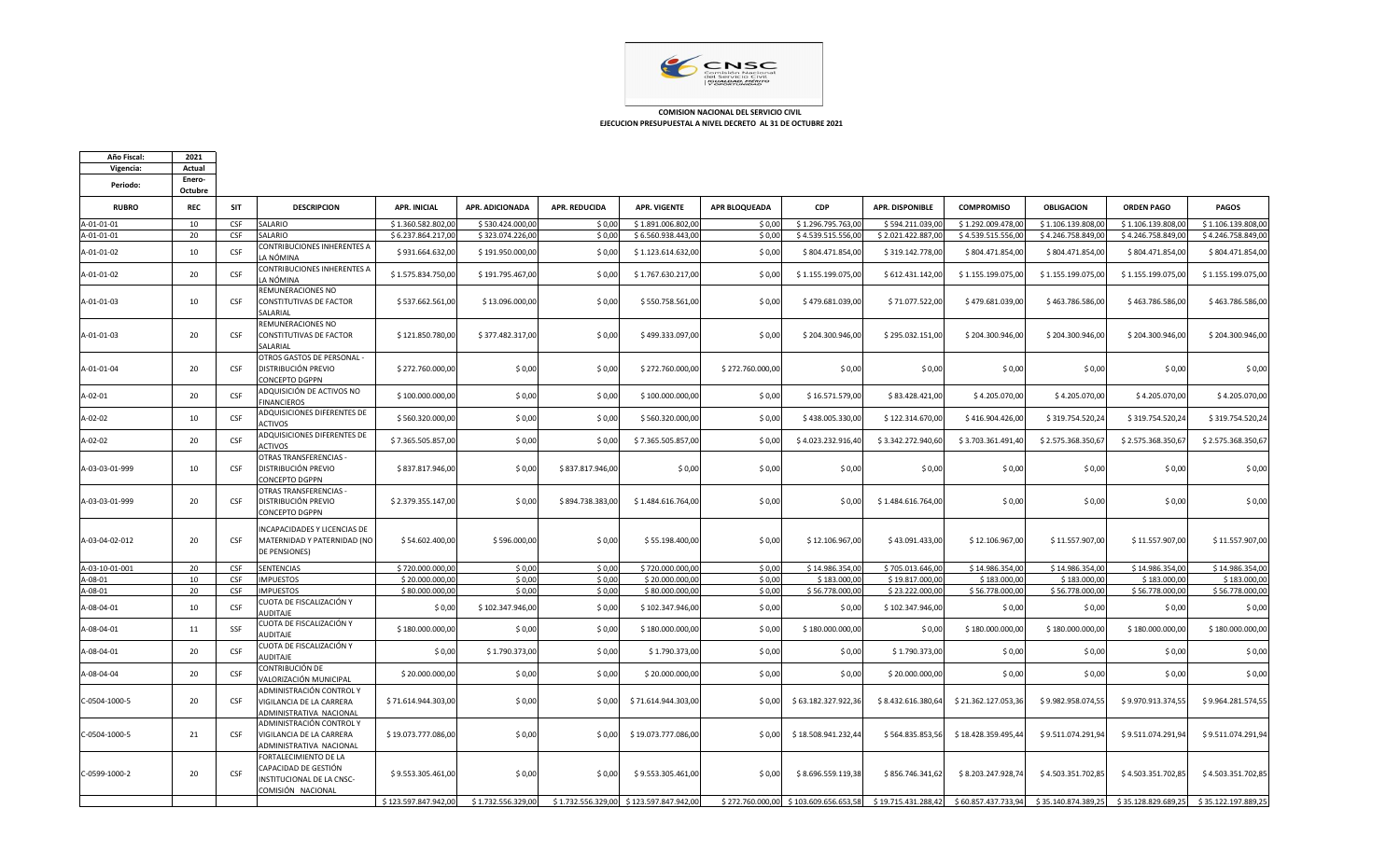

 **COMISION NACIONAL DEL SERVICIO CIVIL EJECUCION PRESUPUESTAL A NIVEL DECRETO AL 31 DE OCTUBRE 2021**

<u>experience</u>

| Año Fiscal:    | 2021       |            |                                                                                                 |                      |                        |                      |                                         |                  |                                       |                        |                     |                     |                     |                     |
|----------------|------------|------------|-------------------------------------------------------------------------------------------------|----------------------|------------------------|----------------------|-----------------------------------------|------------------|---------------------------------------|------------------------|---------------------|---------------------|---------------------|---------------------|
| Vigencia:      | Actual     |            |                                                                                                 |                      |                        |                      |                                         |                  |                                       |                        |                     |                     |                     |                     |
| Periodo:       | Enero-     |            |                                                                                                 |                      |                        |                      |                                         |                  |                                       |                        |                     |                     |                     |                     |
|                | Octubre    |            |                                                                                                 |                      |                        |                      |                                         |                  |                                       |                        |                     |                     |                     |                     |
| <b>RUBRO</b>   | <b>REC</b> | SIT        | <b>DESCRIPCION</b>                                                                              | <b>APR. INICIAL</b>  | <b>APR. ADICIONADA</b> | <b>APR. REDUCIDA</b> | <b>APR. VIGENTE</b>                     | APR BLOQUEADA    | <b>CDP</b>                            | <b>APR. DISPONIBLE</b> | <b>COMPROMISO</b>   | <b>OBLIGACION</b>   | <b>ORDEN PAGO</b>   | PAGOS               |
| A-01-01-01     | 10         | <b>CSF</b> | SALARIO                                                                                         | \$1.360.582.802.00   | \$530.424.000.00       | \$0.00               | \$1.891.006.802.00                      | \$0,00           | \$1,296,795,763.00                    | \$594.211.039.00       | \$1,292,009,478.0   | \$1.106.139.808.00  | \$1.106.139.808.00  | \$1.106.139.808.00  |
| A-01-01-01     | 20         | <b>CSF</b> | SALARIO                                                                                         | \$6.237.864.217,00   | \$323.074.226,00       | \$0,00               | \$6.560.938.443,00                      | \$0,00           | \$4.539.515.556,00                    | \$2.021.422.887,00     | \$4.539.515.556,00  | \$4.246.758.849,00  | \$4.246.758.849,00  | \$4.246.758.849,00  |
| A-01-01-02     | 10         | <b>CSF</b> | CONTRIBUCIONES INHERENTES A<br>A NÓMINA.                                                        | \$931.664.632,00     | \$191.950.000,00       | \$0,00               | \$1.123.614.632,00                      | \$0,00           | \$804.471.854,00                      | \$319.142.778,00       | \$804.471.854,00    | \$804.471.854,00    | \$804.471.854,00    | \$804.471.854,00    |
| A-01-01-02     | 20         | CSF        | CONTRIBUCIONES INHERENTES A<br>LA NÓMINA                                                        | \$1.575.834.750,00   | \$191.795.467,00       | \$0,00               | \$1.767.630.217,00                      | \$0,00           | \$1.155.199.075,00                    | \$612.431.142,00       | \$1.155.199.075,00  | \$1.155.199.075,00  | \$1.155.199.075,00  | \$1.155.199.075,00  |
| A-01-01-03     | 10         | <b>CSF</b> | REMUNERACIONES NO<br>CONSTITUTIVAS DE FACTOR<br>SALARIAL                                        | \$537.662.561,00     | \$13.096.000,00        | \$0,00               | \$550.758.561,00                        | \$0,00           | \$479.681.039,00                      | \$71.077.522,00        | \$479.681.039,00    | \$463.786.586,00    | \$463.786.586,00    | \$463.786.586,00    |
| A-01-01-03     | 20         | <b>CSF</b> | REMUNERACIONES NO<br>CONSTITUTIVAS DE FACTOR<br><b>SALARIAL</b>                                 | \$121.850.780,00     | \$377.482.317,00       | \$0.00               | \$499.333.097,00                        | \$0,00           | \$204.300.946,00                      | \$295.032.151,00       | \$204.300.946.00    | \$204.300.946,00    | \$204.300.946,00    | \$204.300.946,00    |
| A-01-01-04     | 20         | <b>CSF</b> | OTROS GASTOS DE PERSONAL ·<br><b>DISTRIBUCIÓN PREVIO</b><br>CONCEPTO DGPPN                      | \$272.760.000,00     | \$0,00                 | \$0,00               | \$272.760.000,00                        | \$272.760.000,00 | \$0,00                                | \$0,00                 | \$ 0,00             | \$0,00              | \$0,00              | \$0,00              |
| A-02-01        | 20         | CSF        | ADQUISICIÓN DE ACTIVOS NO<br><b>FINANCIEROS</b>                                                 | \$100.000.000,00     | \$0,00                 | \$0,00               | \$100.000.000,00                        | \$0,00           | \$16.571.579,00                       | \$83.428.421,00        | \$4.205.070,00      | \$4.205.070,00      | \$4.205.070,00      | \$4.205.070,00      |
| A-02-02        | 10         | <b>CSF</b> | ADQUISICIONES DIFERENTES DE<br>ACTIVOS                                                          | \$560.320.000,00     | \$0,00                 | \$0,00               | \$560.320.000,00                        | \$0,00           | \$438.005.330,00                      | \$122.314.670,00       | \$416.904.426,00    | \$319.754.520,24    | \$319.754.520,24    | \$319.754.520,24    |
| A-02-02        | 20         | CSF        | ADQUISICIONES DIFERENTES DE<br><b>ACTIVOS</b>                                                   | \$7.365.505.857,00   | \$0,00                 | \$0,00               | \$7.365.505.857,00                      | \$0,00           | \$4.023.232.916,40                    | \$3.342.272.940,60     | \$3.703.361.491,40  | \$2.575.368.350,6   | \$2.575.368.350,6   | \$2.575.368.350,6   |
| A-03-03-01-999 | 10         | <b>CSF</b> | OTRAS TRANSFERENCIAS -<br><b>DISTRIBUCIÓN PREVIO</b><br>CONCEPTO DGPPN                          | \$837.817.946,00     | \$0,00                 | \$837.817.946,00     | \$0,00                                  | \$0,00           | \$0,00                                | \$0,00                 | \$0,00              | \$0,00              | \$0,00              | \$0,00              |
| A-03-03-01-999 | 20         | <b>CSF</b> | OTRAS TRANSFERENCIAS -<br><b>DISTRIBUCIÓN PREVIO</b><br>CONCEPTO DGPPN                          | \$2.379.355.147,00   | \$0,00                 | \$894.738.383,00     | \$1.484.616.764,00                      | \$0,00           | \$0,00                                | \$1.484.616.764,00     | \$0,00              | \$0,00              | \$0,00              | \$0,00              |
| A-03-04-02-012 | 20         | <b>CSF</b> | INCAPACIDADES Y LICENCIAS DE<br>MATERNIDAD Y PATERNIDAD (NO<br>DE PENSIONES)                    | \$54.602.400,00      | \$596.000,00           | \$0.00               | \$55.198.400,00                         | \$0,00           | \$12.106.967,00                       | \$43.091.433,00        | \$12.106.967,00     | \$11.557.907,00     | \$11.557.907,00     | \$11.557.907,00     |
| A-03-10-01-001 | 20         | <b>CSF</b> | <b>SENTENCIAS</b>                                                                               | \$720,000,000,00     | \$0,00                 | \$0.00               | \$720,000,000,00                        | \$0,00           | \$14.986.354,00                       | \$705.013.646,00       | \$14.986.354,0      | \$14.986.354,00     | \$14.986.354,00     | \$14.986.354,00     |
| A-08-01        | 10         | CSF        | <b>IMPUESTOS</b>                                                                                | \$20,000,000,00      | \$0.00                 | \$0.00               | \$20,000,000.00                         | \$0.00           | \$183,000.00                          | \$19.817.000.00        | \$183,000.0         | \$183,000.00        | \$183,000.00        | \$183,000.0         |
| A-08-01        | 20         | <b>CSF</b> | <b>IMPUESTOS</b>                                                                                | \$80.000.000,00      | \$0,00                 | \$0,00               | \$80.000.000,00                         | \$0,00           | \$56.778.000,00                       | \$23.222.000,00        | \$56.778.000,0      | \$56.778.000,00     | \$56.778.000,00     | \$56.778.000,0      |
| A-08-04-01     | 10         | CSF        | CUOTA DE FISCALIZACIÓN Y<br>AUDITAJE                                                            | \$0,00               | \$102.347.946,00       | \$0,00               | \$102.347.946,00                        | \$0,00           | \$0,00                                | \$102.347.946,00       | \$0,00              | \$ 0,00             | \$0,00              | \$0,00              |
| A-08-04-01     | 11         | SSF        | CUOTA DE FISCALIZACIÓN Y<br><b>AUDITAJE</b>                                                     | \$180.000.000,00     | \$0,00                 | \$0,00               | \$180.000.000,00                        | \$0,00           | \$180.000.000,00                      | \$0,00                 | \$180.000.000,00    | \$180.000.000,00    | \$180.000.000,00    | \$180.000.000,0     |
| A-08-04-01     | 20         | <b>CSF</b> | CUOTA DE FISCALIZACIÓN Y<br><b>AUDITAJE</b>                                                     | \$0,00               | \$1.790.373,00         | \$0,00               | \$1.790.373,00                          | \$0,00           | \$0,00                                | \$1.790.373,00         | \$0,00              | \$0,00              | \$0,00              | \$0,00              |
| A-08-04-04     | 20         | <b>CSF</b> | CONTRIBUCIÓN DE<br>VALORIZACIÓN MUNICIPAL                                                       | \$20.000.000,00      | \$0,00                 | \$0,00               | \$20.000.000,00                         | \$0,00           | \$0,00                                | \$20.000.000,00        | \$0,00              | \$0,00              | \$0,00              | \$0,00              |
| C-0504-1000-5  | 20         | <b>CSF</b> | ADMINISTRACIÓN CONTROL Y<br>VIGILANCIA DE LA CARRERA<br>ADMINISTRATIVA NACIONAL                 | \$71.614.944.303,00  | \$0,00                 | \$0,00               | \$71.614.944.303,00                     | \$0,00           | \$63.182.327.922,36                   | \$8.432.616.380,64     | \$21.362.127.053,36 | \$9.982.958.074,55  | \$9.970.913.374,55  | \$9.964.281.574,55  |
| C-0504-1000-5  | 21         | <b>CSF</b> | ADMINISTRACIÓN CONTROL Y<br>VIGILANCIA DE LA CARRERA<br>ADMINISTRATIVA NACIONAL                 | \$19.073.777.086,00  | \$0,00                 | \$0,00               | \$19.073.777.086,00                     | \$0,00           | \$18.508.941.232,44                   | \$564.835.853,56       | \$18.428.359.495,44 | \$9.511.074.291,94  | \$9.511.074.291,94  | \$9.511.074.291,94  |
| C-0599-1000-2  | 20         | <b>CSF</b> | FORTALECIMIENTO DE LA<br>CAPACIDAD DE GESTIÓN<br>INSTITUCIONAL DE LA CNSC-<br>COMISIÓN NACIONAL | \$9.553.305.461,00   | \$0,00                 | \$0.00               | \$9.553.305.461,00                      | \$0.00           | \$8.696.559.119,38                    | \$856.746.341.62       | \$8.203.247.928.74  | \$4.503.351.702.85  | \$4.503.351.702,85  | \$4.503.351.702,85  |
|                |            |            |                                                                                                 | \$123.597.847.942.00 | \$1.732.556.329.00     |                      | \$1,732,556,329.00 \$123,597,847,942.00 |                  | \$272.760.000,00 \$103.609.656.653,58 |                        |                     | \$35.140.874.389.25 | \$35.128.829.689.25 | \$35.122.197.889,25 |